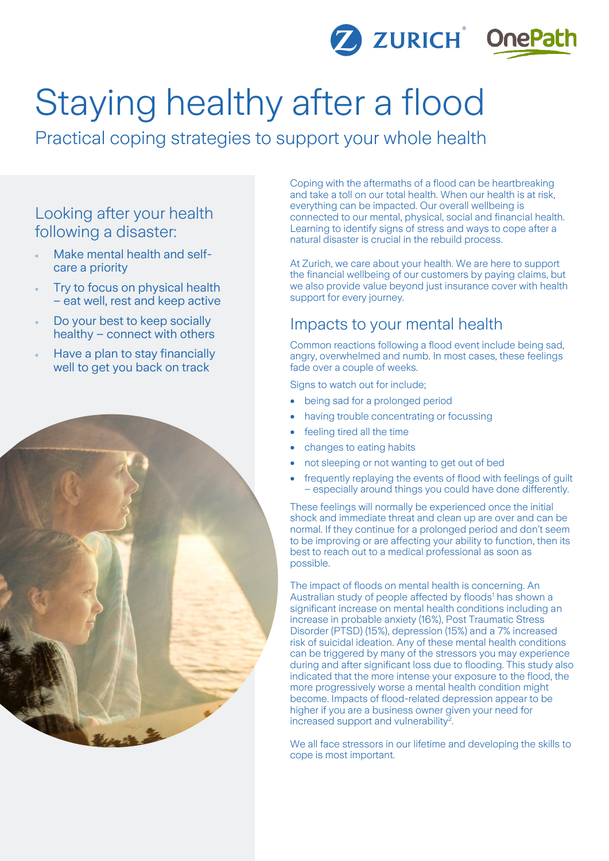

# Staying healthy after a flood

Practical coping strategies to support your whole health

## Looking after your health following a disaster:

- Make mental health and selfcare a priority
- Try to focus on physical health – eat well, rest and keep active
- Do your best to keep socially healthy – connect with others
- Have a plan to stay financially well to get you back on track



Coping with the aftermaths of a flood can be heartbreaking and take a toll on our total health. When our health is at risk, everything can be impacted. Our overall wellbeing is connected to our mental, physical, social and financial health. Learning to identify signs of stress and ways to cope after a natural disaster is crucial in the rebuild process.

At Zurich, we care about your health. We are here to support the financial wellbeing of our customers by paying claims, but we also provide value beyond just insurance cover with health support for every journey.

## Impacts to your mental health

Common reactions following a flood event include being sad, angry, overwhelmed and numb. In most cases, these feelings fade over a couple of weeks.

Signs to watch out for include;

- being sad for a prolonged period
- having trouble concentrating or focussing
- feeling tired all the time
- changes to eating habits
- not sleeping or not wanting to get out of bed
- frequently replaying the events of flood with feelings of guilt – especially around things you could have done differently.

These feelings will normally be experienced once the initial shock and immediate threat and clean up are over and can be normal. If they continue for a prolonged period and don't seem to be improving or are affecting your ability to function, then its best to reach out to a medical professional as soon as possible.

The impact of floods on mental health is concerning. An Australian study of people affected by floods<sup>1</sup> has shown a significant increase on mental health conditions including an increase in probable anxiety (16%), Post Traumatic Stress Disorder (PTSD) (15%), depression (15%) and a 7% increased risk of suicidal ideation. Any of these mental health conditions can be triggered by many of the stressors you may experience during and after significant loss due to flooding. This study also indicated that the more intense your exposure to the flood, the more progressively worse a mental health condition might become. Impacts of flood-related depression appear to be higher if you are a business owner given your need for increased support and vulnerability<sup>2</sup>.

We all face stressors in our lifetime and developing the skills to cope is most important.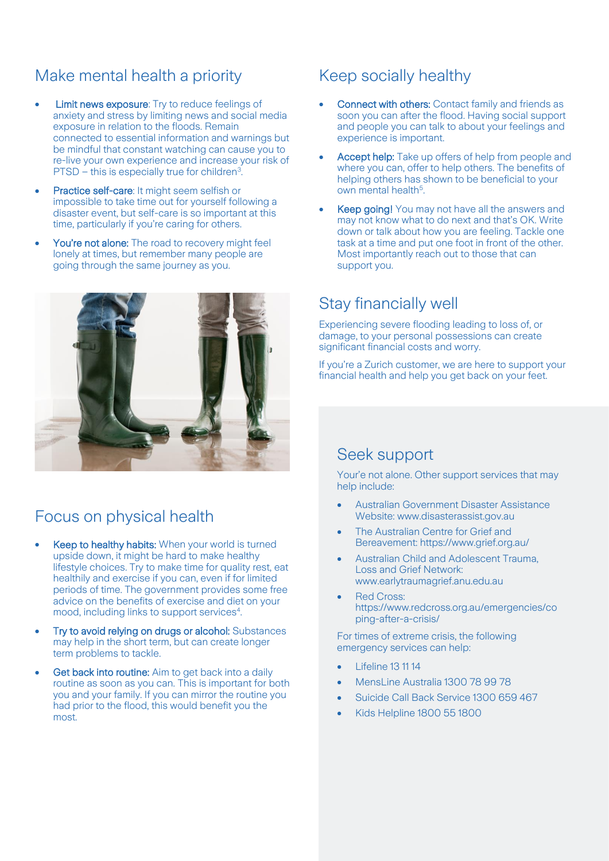# Make mental health a priority

- Limit news exposure: Try to reduce feelings of anxiety and stress by limiting news and social media exposure in relation to the floods. Remain connected to essential information and warnings but be mindful that constant watching can cause you to re-live your own experience and increase your risk of  $PTSD - this$  is especially true for children<sup>3</sup>.
- Practice self-care: It might seem selfish or impossible to take time out for yourself following a disaster event, but self-care is so important at this time, particularly if you're caring for others.
- You're not alone: The road to recovery might feel lonely at times, but remember many people are going through the same journey as you.



# Focus on physical health

- Keep to healthy habits: When your world is turned upside down, it might be hard to make healthy lifestyle choices. Try to make time for quality rest, eat healthily and exercise if you can, even if for limited periods of time. The government provides some free advice on the benefits of exercise and diet on your mood, including links to support services<sup>4</sup>. .
- Try to avoid relying on drugs or alcohol: Substances may help in the short term, but can create longer term problems to tackle.
- Get back into routine: Aim to get back into a daily routine as soon as you can. This is important for both you and your family. If you can mirror the routine you had prior to the flood, this would benefit you the most.

## Keep socially healthy

- Connect with others: Contact family and friends as soon you can after the flood. Having social support and people you can talk to about your feelings and experience is important.
- Accept help: Take up offers of help from people and where you can, offer to help others. The benefits of helping others has shown to be beneficial to your own mental health<sup>5</sup>.
- **Keep going!** You may not have all the answers and may not know what to do next and that's OK. Write down or talk about how you are feeling. Tackle one task at a time and put one foot in front of the other. Most importantly reach out to those that can support you.

# Stay financially well

Experiencing severe flooding leading to loss of, or damage, to your personal possessions can create significant financial costs and worry.

If you're a Zurich customer, we are here to support your financial health and help you get back on your feet.

## Seek support

Your'e not alone. Other support services that may help include:

- Australian Government Disaster Assistance Website: www.disasterassist.gov.au
- The Australian Centre for Grief and Bereavement: https://www.grief.org.au/
- Australian Child and Adolescent Trauma, Loss and Grief Network: www.earlytraumagrief.anu.edu.au
- Red Cross: https://www.redcross.org.au/emergencies/co ping-after-a-crisis/

For times of extreme crisis, the following emergency services can help:

- Lifeline 13 11 14
- MensLine Australia 1300 78 99 78
- Suicide Call Back Service 1300 659 467
- Kids Helpline 1800 55 1800